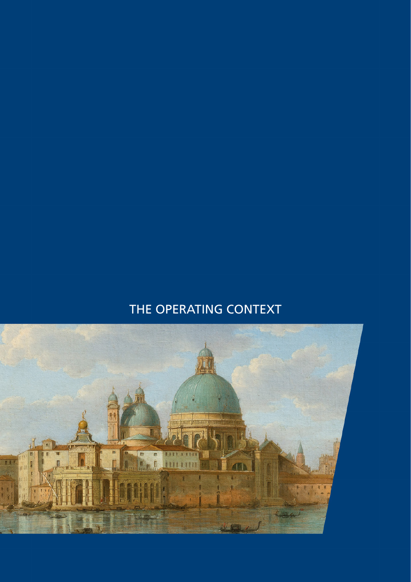# THE OPERATING CONTEXT

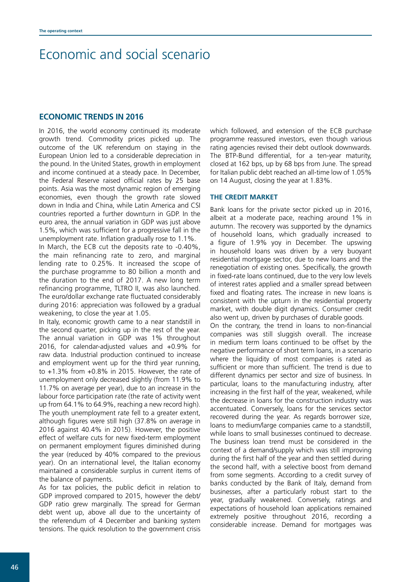## Economic and social scenario

### **ECONOMIC TRENDS IN 2016**

In 2016, the world economy continued its moderate growth trend. Commodity prices picked up. The outcome of the UK referendum on staying in the European Union led to a considerable depreciation in the pound. In the United States, growth in employment and income continued at a steady pace. In December, the Federal Reserve raised official rates by 25 base points. Asia was the most dynamic region of emerging economies, even though the growth rate slowed down in India and China, while Latin America and CSI countries reported a further downturn in GDP. In the euro area, the annual variation in GDP was just above 1.5%, which was sufficient for a progressive fall in the unemployment rate. Inflation gradually rose to 1.1%.

In March, the ECB cut the deposits rate to -0.40%, the main refinancing rate to zero, and marginal lending rate to 0.25%. It increased the scope of the purchase programme to 80 billion a month and the duration to the end of 2017. A new long term refinancing programme, TLTRO II, was also launched. The euro/dollar exchange rate fluctuated considerably during 2016: appreciation was followed by a gradual weakening, to close the year at 1.05.

In Italy, economic growth came to a near standstill in the second quarter, picking up in the rest of the year. The annual variation in GDP was 1% throughout 2016, for calendar-adjusted values and +0.9% for raw data. Industrial production continued to increase and employment went up for the third year running, to +1.3% from +0.8% in 2015. However, the rate of unemployment only decreased slightly (from 11.9% to 11.7% on average per year), due to an increase in the labour force participation rate (the rate of activity went up from 64.1% to 64.9%, reaching a new record high). The youth unemployment rate fell to a greater extent. although figures were still high (37.8% on average in 2016 against 40.4% in 2015). However, the positive effect of welfare cuts for new fixed-term employment on permanent employment figures diminished during the year (reduced by 40% compared to the previous year). On an international level, the Italian economy maintained a considerable surplus in current items of the balance of payments.

As for tax policies, the public deficit in relation to GDP improved compared to 2015, however the debt/ GDP ratio grew marginally. The spread for German debt went up, above all due to the uncertainty of the referendum of 4 December and banking system tensions. The quick resolution to the government crisis which followed, and extension of the ECB purchase programme reassured investors, even though various rating agencies revised their debt outlook downwards. The BTP-Bund differential, for a ten-year maturity, closed at 162 bps, up by 68 bps from June. The spread for Italian public debt reached an all-time low of 1.05% on 14 August, closing the year at 1.83%.

#### **THE CREDIT MARKET**

Bank loans for the private sector picked up in 2016, albeit at a moderate pace, reaching around 1% in autumn. The recovery was supported by the dynamics of household loans, which gradually increased to a figure of 1.9% yoy in December. The upswing in household loans was driven by a very buoyant residential mortgage sector, due to new loans and the renegotiation of existing ones. Specifically, the growth in fixed-rate loans continued, due to the very low levels of interest rates applied and a smaller spread between fixed and floating rates. The increase in new loans is consistent with the upturn in the residential property market, with double digit dynamics. Consumer credit also went up, driven by purchases of durable goods.

On the contrary, the trend in loans to non-financial companies was still sluggish overall. The increase in medium term loans continued to be offset by the negative performance of short term loans, in a scenario where the liquidity of most companies is rated as sufficient or more than sufficient. The trend is due to different dynamics per sector and size of business. In particular, loans to the manufacturing industry, after increasing in the first half of the year, weakened, while the decrease in loans for the construction industry was accentuated. Conversely, loans for the services sector recovered during the year. As regards borrower size, loans to medium/large companies came to a standstill, while loans to small businesses continued to decrease. The business loan trend must be considered in the context of a demand/supply which was still improving during the first half of the year and then settled during the second half, with a selective boost from demand from some segments. According to a credit survey of banks conducted by the Bank of Italy, demand from businesses, after a particularly robust start to the year, gradually weakened. Conversely, ratings and expectations of household loan applications remained extremely positive throughout 2016, recording a considerable increase. Demand for mortgages was